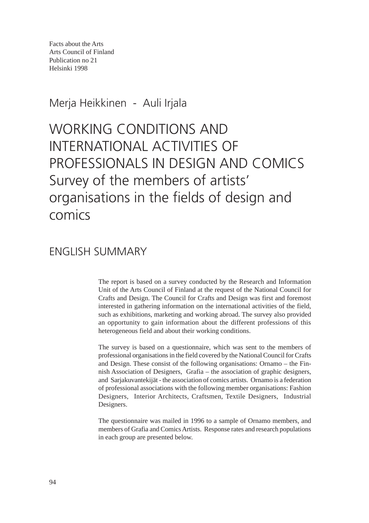Facts about the Arts Arts Council of Finland Publication no 21 Helsinki 1998

Merja Heikkinen - Auli Irjala

WORKING CONDITIONS AND INTERNATIONAL ACTIVITIES OF PROFESSIONALS IN DESIGN AND COMICS Survey of the members of artists' organisations in the fields of design and comics

## ENGLISH SUMMARY

The report is based on a survey conducted by the Research and Information Unit of the Arts Council of Finland at the request of the National Council for Crafts and Design. The Council for Crafts and Design was first and foremost interested in gathering information on the international activities of the field, such as exhibitions, marketing and working abroad. The survey also provided an opportunity to gain information about the different professions of this heterogeneous field and about their working conditions.

The survey is based on a questionnaire, which was sent to the members of professional organisations in the field covered by the National Council for Crafts and Design. These consist of the following organisations: Ornamo – the Finnish Association of Designers, Grafia – the association of graphic designers, and Sarjakuvantekijät - the association of comics artists. Ornamo is a federation of professional associations with the following member organisations: Fashion Designers, Interior Architects, Craftsmen, Textile Designers, Industrial Designers.

The questionnaire was mailed in 1996 to a sample of Ornamo members, and members of Grafia and Comics Artists. Response rates and research populations in each group are presented below.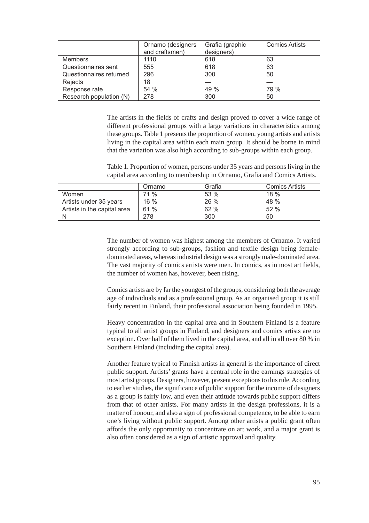|                         | Ornamo (designers<br>and craftsmen) | Grafia (graphic<br>designers) | <b>Comics Artists</b> |
|-------------------------|-------------------------------------|-------------------------------|-----------------------|
| <b>Members</b>          | 1110                                | 618                           | 63                    |
| Questionnaires sent     | 555                                 | 618                           | 63                    |
| Questionnaires returned | 296                                 | 300                           | 50                    |
| Rejects                 | 18                                  |                               |                       |
| Response rate           | 54 %                                | 49 %                          | 79 %                  |
| Research population (N) | 278                                 | 300                           | 50                    |

The artists in the fields of crafts and design proved to cover a wide range of different professional groups with a large variations in characteristics among these groups. Table 1 presents the proportion of women, young artists and artists living in the capital area within each main group. It should be borne in mind that the variation was also high according to sub-groups within each group.

Table 1. Proportion of women, persons under 35 years and persons living in the capital area according to membership in Ornamo, Grafia and Comics Artists.

|                             | Ornamo | Grafia | <b>Comics Artists</b> |
|-----------------------------|--------|--------|-----------------------|
| Women                       | 71 %   | 53%    | $18\%$                |
| Artists under 35 years      | $16\%$ | $26\%$ | 48 %                  |
| Artists in the capital area | 61%    | 62%    | 52%                   |
|                             | 278    | 300    | 50                    |

The number of women was highest among the members of Ornamo. It varied strongly according to sub-groups, fashion and textile design being femaledominated areas, whereas industrial design was a strongly male-dominated area. The vast majority of comics artists were men. In comics, as in most art fields, the number of women has, however, been rising.

Comics artists are by far the youngest of the groups, considering both the average age of individuals and as a professional group. As an organised group it is still fairly recent in Finland, their professional association being founded in 1995.

Heavy concentration in the capital area and in Southern Finland is a feature typical to all artist groups in Finland, and designers and comics artists are no exception. Over half of them lived in the capital area, and all in all over 80 % in Southern Finland (including the capital area).

Another feature typical to Finnish artists in general is the importance of direct public support. Artists' grants have a central role in the earnings strategies of most artist groups. Designers, however, present exceptions to this rule. According to earlier studies, the significance of public support for the income of designers as a group is fairly low, and even their attitude towards public support differs from that of other artists. For many artists in the design professions, it is a matter of honour, and also a sign of professional competence, to be able to earn one's living without public support. Among other artists a public grant often affords the only opportunity to concentrate on art work, and a major grant is also often considered as a sign of artistic approval and quality.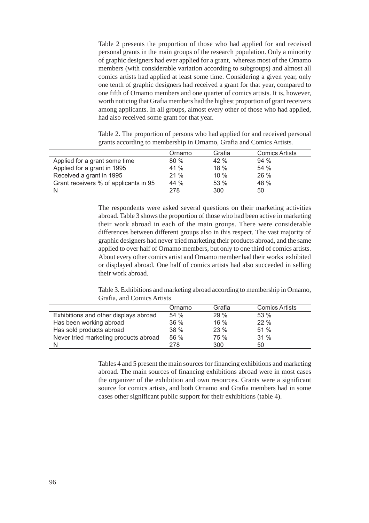Table 2 presents the proportion of those who had applied for and received personal grants in the main groups of the research population. Only a minority of graphic designers had ever applied for a grant, whereas most of the Ornamo members (with considerable variation according to subgroups) and almost all comics artists had applied at least some time. Considering a given year, only one tenth of graphic designers had received a grant for that year, compared to one fifth of Ornamo members and one quarter of comics artists. It is, however, worth noticing that Grafia members had the highest proportion of grant receivers among applicants. In all groups, almost every other of those who had applied, had also received some grant for that year.

Table 2. The proportion of persons who had applied for and received personal grants according to membership in Ornamo, Grafia and Comics Artists.

|                                       | Ornamo | Grafia | <b>Comics Artists</b> |
|---------------------------------------|--------|--------|-----------------------|
| Applied for a grant some time         | 80%    | 42%    | 94%                   |
| Applied for a grant in 1995           | 41 %   | 18 %   | 54 %                  |
| Received a grant in 1995              | 21%    | 10 %   | 26 %                  |
| Grant receivers % of applicants in 95 | 44 %   | 53 %   | 48 %                  |
|                                       | 278    | 300    | 50                    |

The respondents were asked several questions on their marketing activities abroad. Table 3 shows the proportion of those who had been active in marketing their work abroad in each of the main groups. There were considerable differences between different groups also in this respect. The vast majority of graphic designers had never tried marketing their products abroad, and the same applied to over half of Ornamo members, but only to one third of comics artists. About every other comics artist and Ornamo member had their works exhibited or displayed abroad. One half of comics artists had also succeeded in selling their work abroad.

Table 3. Exhibitions and marketing abroad according to membership in Ornamo, Grafia, and Comics Artists

|                                       | Ornamo | Grafia | <b>Comics Artists</b> |
|---------------------------------------|--------|--------|-----------------------|
| Exhibitions and other displays abroad | 54 %   | 29%    | 53 %                  |
| Has been working abroad               | 36 %   | 16 %   | 22 %                  |
| Has sold products abroad              | 38 %   | 23%    | 51%                   |
| Never tried marketing products abroad | 56 %   | 75 %   | 31%                   |
|                                       | 278    | 300    | 50                    |

Tables 4 and 5 present the main sources for financing exhibitions and marketing abroad. The main sources of financing exhibitions abroad were in most cases the organizer of the exhibition and own resources. Grants were a significant source for comics artists, and both Ornamo and Grafia members had in some cases other significant public support for their exhibitions (table 4).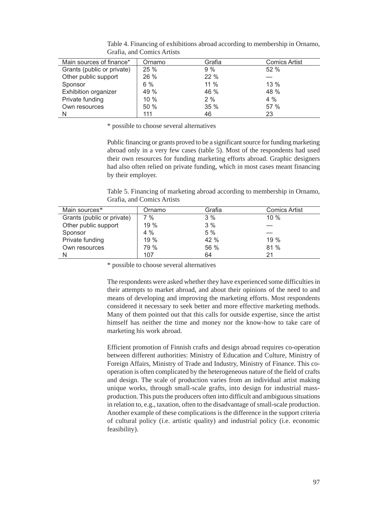| Main sources of finance*    | Ornamo | Grafia | <b>Comics Artist</b> |
|-----------------------------|--------|--------|----------------------|
| Grants (public or private)  | 25%    | 9%     | 52%                  |
| Other public support        | 26 %   | 22 %   |                      |
| Sponsor                     | $6\%$  | $11\%$ | $13\%$               |
| <b>Exhibition organizer</b> | 49 %   | 46 %   | 48 %                 |
| Private funding             | 10%    | 2%     | $4\%$                |
| Own resources               | 50 %   | 35%    | 57 %                 |
| N                           | 111    | 46     | 23                   |

Table 4. Financing of exhibitions abroad according to membership in Ornamo, Grafia, and Comics Artists

\* possible to choose several alternatives

Public financing or grants proved to be a significant source for funding marketing abroad only in a very few cases (table 5). Most of the respondents had used their own resources for funding marketing efforts abroad. Graphic designers had also often relied on private funding, which in most cases meant financing by their employer.

Table 5. Financing of marketing abroad according to membership in Ornamo, Grafia, and Comics Artists

| Main sources*              | Ornamo | Grafia | <b>Comics Artist</b> |
|----------------------------|--------|--------|----------------------|
| Grants (public or private) | 7 %    | 3%     | $10\%$               |
| Other public support       | 19 %   | 3%     |                      |
| Sponsor                    | 4%     | 5 %    |                      |
| Private funding            | 19 %   | 42 %   | 19%                  |
| Own resources              | 79 %   | 56 %   | 81 %                 |
|                            | 107    | 64     | 21                   |

\* possible to choose several alternatives

The respondents were asked whether they have experienced some difficulties in their attempts to market abroad, and about their opinions of the need to and means of developing and improving the marketing efforts. Most respondents considered it necessary to seek better and more effective marketing methods. Many of them pointed out that this calls for outside expertise, since the artist himself has neither the time and money nor the know-how to take care of marketing his work abroad.

Efficient promotion of Finnish crafts and design abroad requires co-operation between different authorities: Ministry of Education and Culture, Ministry of Foreign Affairs, Ministry of Trade and Industry, Ministry of Finance. This cooperation is often complicated by the heterogeneous nature of the field of crafts and design. The scale of production varies from an individual artist making unique works, through small-scale grafts, into design for industrial massproduction. This puts the producers often into difficult and ambiguous situations in relation to, e.g., taxation, often to the disadvantage of small-scale production. Another example of these complications is the difference in the support criteria of cultural policy (i.e. artistic quality) and industrial policy (i.e. economic feasibility).